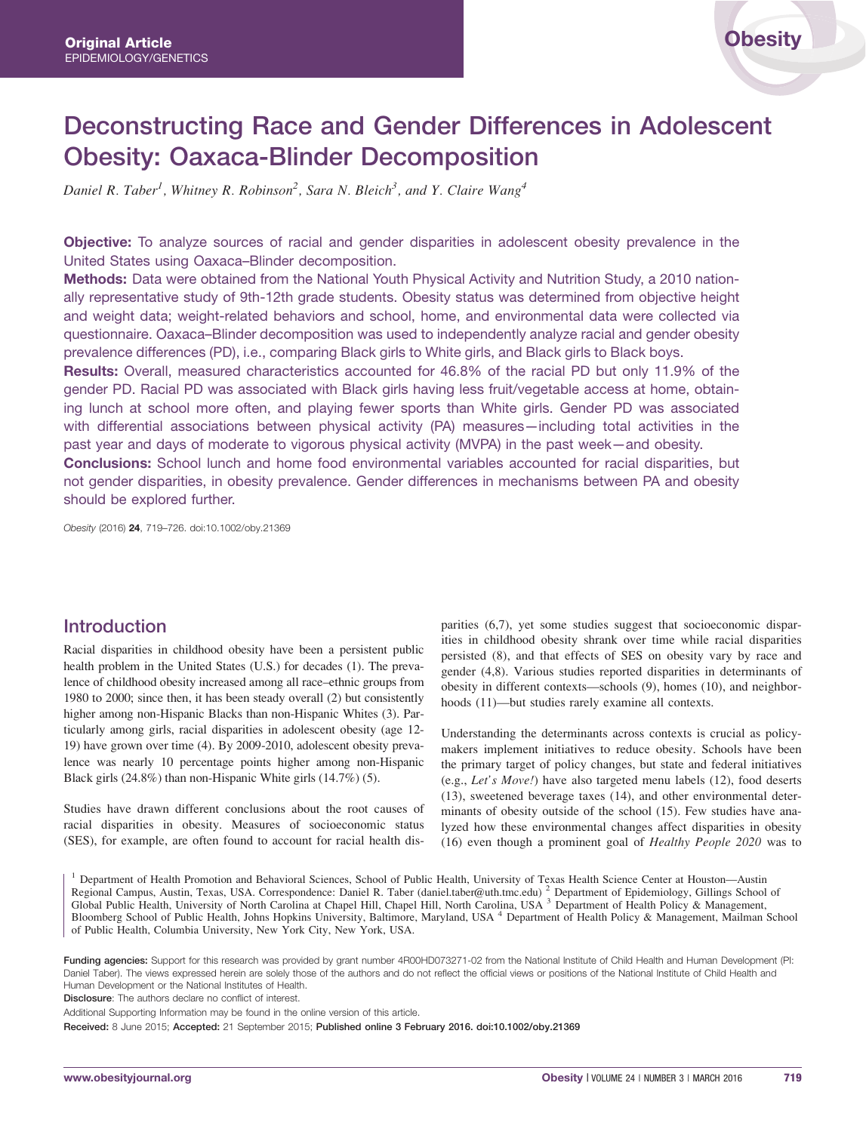# Deconstructing Race and Gender Differences in Adolescent Obesity: Oaxaca-Blinder Decomposition

Daniel R. Taber<sup>1</sup>, Whitney R. Robinson<sup>2</sup>, Sara N. Bleich<sup>3</sup>, and Y. Claire Wang<sup>4</sup>

Objective: To analyze sources of racial and gender disparities in adolescent obesity prevalence in the United States using Oaxaca–Blinder decomposition.

Methods: Data were obtained from the National Youth Physical Activity and Nutrition Study, a 2010 nationally representative study of 9th-12th grade students. Obesity status was determined from objective height and weight data; weight-related behaviors and school, home, and environmental data were collected via questionnaire. Oaxaca–Blinder decomposition was used to independently analyze racial and gender obesity prevalence differences (PD), i.e., comparing Black girls to White girls, and Black girls to Black boys.

Results: Overall, measured characteristics accounted for 46.8% of the racial PD but only 11.9% of the gender PD. Racial PD was associated with Black girls having less fruit/vegetable access at home, obtaining lunch at school more often, and playing fewer sports than White girls. Gender PD was associated with differential associations between physical activity (PA) measures—including total activities in the past year and days of moderate to vigorous physical activity (MVPA) in the past week—and obesity. Conclusions: School lunch and home food environmental variables accounted for racial disparities, but not gender disparities, in obesity prevalence. Gender differences in mechanisms between PA and obesity should be explored further.

Obesity (2016) 24, 719–726. doi:10.1002/oby.21369

### Introduction

Racial disparities in childhood obesity have been a persistent public health problem in the United States (U.S.) for decades (1). The prevalence of childhood obesity increased among all race–ethnic groups from 1980 to 2000; since then, it has been steady overall (2) but consistently higher among non-Hispanic Blacks than non-Hispanic Whites (3). Particularly among girls, racial disparities in adolescent obesity (age 12- 19) have grown over time (4). By 2009-2010, adolescent obesity prevalence was nearly 10 percentage points higher among non-Hispanic Black girls (24.8%) than non-Hispanic White girls (14.7%) (5).

Studies have drawn different conclusions about the root causes of racial disparities in obesity. Measures of socioeconomic status (SES), for example, are often found to account for racial health dis-

parities (6,7), yet some studies suggest that socioeconomic disparities in childhood obesity shrank over time while racial disparities persisted (8), and that effects of SES on obesity vary by race and gender (4,8). Various studies reported disparities in determinants of obesity in different contexts—schools (9), homes (10), and neighborhoods (11)—but studies rarely examine all contexts.

Understanding the determinants across contexts is crucial as policymakers implement initiatives to reduce obesity. Schools have been the primary target of policy changes, but state and federal initiatives (e.g., Let's Move!) have also targeted menu labels (12), food deserts (13), sweetened beverage taxes (14), and other environmental determinants of obesity outside of the school (15). Few studies have analyzed how these environmental changes affect disparities in obesity (16) even though a prominent goal of Healthy People 2020 was to

<sup>1</sup> Department of Health Promotion and Behavioral Sciences, School of Public Health, University of Texas Health Science Center at Houston—Austin Regional Campus, Austin, Texas, USA. Correspondence: Daniel R. Taber (daniel.taber@uth.tmc.edu) <sup>2</sup> Department of Epidemiology, Gillings School of Global Public Health, University of North Carolina at Chapel Hill, Chapel Hill, North Carolina, USA <sup>3</sup> Department of Health Policy & Management, Bloomberg School of Public Health, Johns Hopkins University, Baltimore, Maryland, USA <sup>4</sup> Department of Health Policy & Management, Mailman School of Public Health, Columbia University, New York City, New York, USA.

Funding agencies: Support for this research was provided by grant number 4R00HD073271-02 from the National Institute of Child Health and Human Development (PI: Daniel Taber). The views expressed herein are solely those of the authors and do not reflect the official views or positions of the National Institute of Child Health and Human Development or the National Institutes of Health.

Disclosure: The authors declare no conflict of interest.

Additional Supporting Information may be found in the online version of this article.

Received: 8 June 2015; Accepted: 21 September 2015; Published online 3 February 2016. doi:10.1002/oby.21369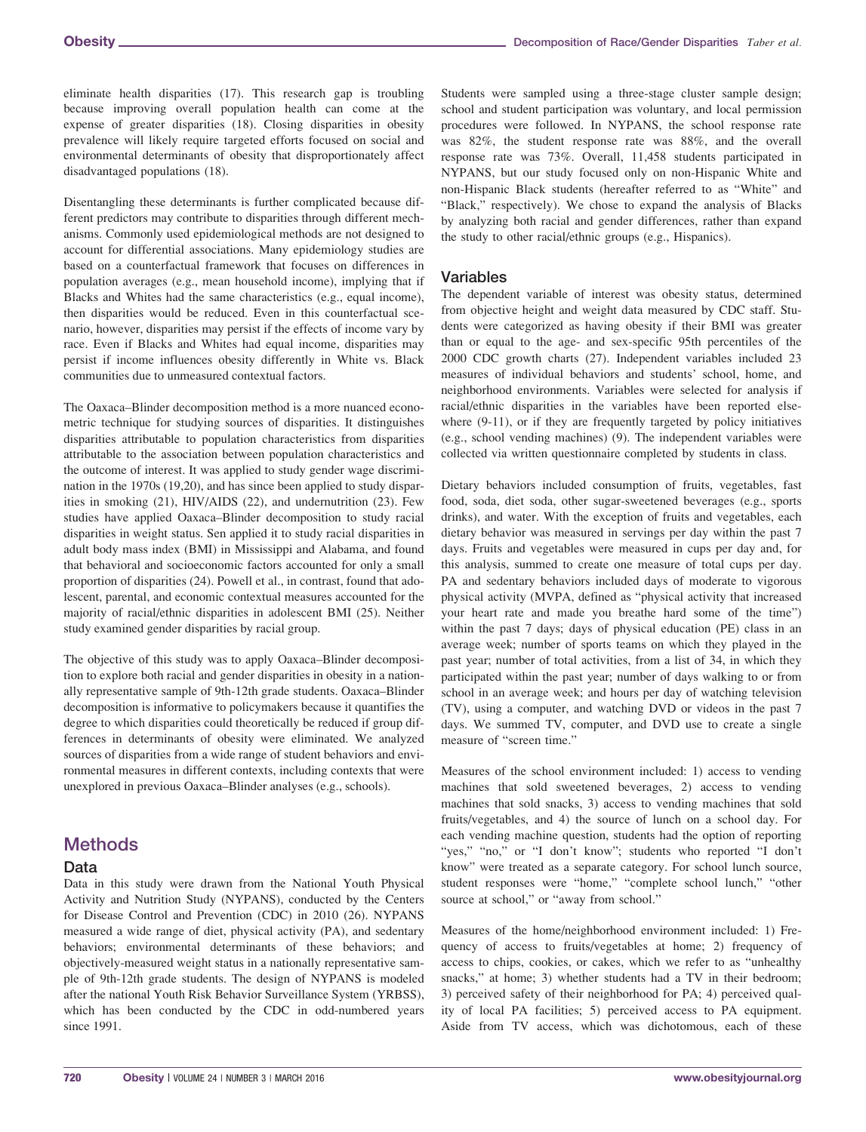eliminate health disparities (17). This research gap is troubling because improving overall population health can come at the expense of greater disparities (18). Closing disparities in obesity prevalence will likely require targeted efforts focused on social and environmental determinants of obesity that disproportionately affect disadvantaged populations (18).

Disentangling these determinants is further complicated because different predictors may contribute to disparities through different mechanisms. Commonly used epidemiological methods are not designed to account for differential associations. Many epidemiology studies are based on a counterfactual framework that focuses on differences in population averages (e.g., mean household income), implying that if Blacks and Whites had the same characteristics (e.g., equal income), then disparities would be reduced. Even in this counterfactual scenario, however, disparities may persist if the effects of income vary by race. Even if Blacks and Whites had equal income, disparities may persist if income influences obesity differently in White vs. Black communities due to unmeasured contextual factors.

The Oaxaca–Blinder decomposition method is a more nuanced econometric technique for studying sources of disparities. It distinguishes disparities attributable to population characteristics from disparities attributable to the association between population characteristics and the outcome of interest. It was applied to study gender wage discrimination in the 1970s (19,20), and has since been applied to study disparities in smoking (21), HIV/AIDS (22), and undernutrition (23). Few studies have applied Oaxaca–Blinder decomposition to study racial disparities in weight status. Sen applied it to study racial disparities in adult body mass index (BMI) in Mississippi and Alabama, and found that behavioral and socioeconomic factors accounted for only a small proportion of disparities (24). Powell et al., in contrast, found that adolescent, parental, and economic contextual measures accounted for the majority of racial/ethnic disparities in adolescent BMI (25). Neither study examined gender disparities by racial group.

The objective of this study was to apply Oaxaca–Blinder decomposition to explore both racial and gender disparities in obesity in a nationally representative sample of 9th-12th grade students. Oaxaca–Blinder decomposition is informative to policymakers because it quantifies the degree to which disparities could theoretically be reduced if group differences in determinants of obesity were eliminated. We analyzed sources of disparities from a wide range of student behaviors and environmental measures in different contexts, including contexts that were unexplored in previous Oaxaca–Blinder analyses (e.g., schools).

## Methods

#### Data

Data in this study were drawn from the National Youth Physical Activity and Nutrition Study (NYPANS), conducted by the Centers for Disease Control and Prevention (CDC) in 2010 (26). NYPANS measured a wide range of diet, physical activity (PA), and sedentary behaviors; environmental determinants of these behaviors; and objectively-measured weight status in a nationally representative sample of 9th-12th grade students. The design of NYPANS is modeled after the national Youth Risk Behavior Surveillance System (YRBSS), which has been conducted by the CDC in odd-numbered years since 1991.

Students were sampled using a three-stage cluster sample design; school and student participation was voluntary, and local permission procedures were followed. In NYPANS, the school response rate was 82%, the student response rate was 88%, and the overall response rate was 73%. Overall, 11,458 students participated in NYPANS, but our study focused only on non-Hispanic White and non-Hispanic Black students (hereafter referred to as "White" and "Black," respectively). We chose to expand the analysis of Blacks by analyzing both racial and gender differences, rather than expand the study to other racial/ethnic groups (e.g., Hispanics).

#### Variables

The dependent variable of interest was obesity status, determined from objective height and weight data measured by CDC staff. Students were categorized as having obesity if their BMI was greater than or equal to the age- and sex-specific 95th percentiles of the 2000 CDC growth charts (27). Independent variables included 23 measures of individual behaviors and students' school, home, and neighborhood environments. Variables were selected for analysis if racial/ethnic disparities in the variables have been reported elsewhere (9-11), or if they are frequently targeted by policy initiatives (e.g., school vending machines) (9). The independent variables were collected via written questionnaire completed by students in class.

Dietary behaviors included consumption of fruits, vegetables, fast food, soda, diet soda, other sugar-sweetened beverages (e.g., sports drinks), and water. With the exception of fruits and vegetables, each dietary behavior was measured in servings per day within the past 7 days. Fruits and vegetables were measured in cups per day and, for this analysis, summed to create one measure of total cups per day. PA and sedentary behaviors included days of moderate to vigorous physical activity (MVPA, defined as "physical activity that increased your heart rate and made you breathe hard some of the time") within the past 7 days; days of physical education (PE) class in an average week; number of sports teams on which they played in the past year; number of total activities, from a list of 34, in which they participated within the past year; number of days walking to or from school in an average week; and hours per day of watching television (TV), using a computer, and watching DVD or videos in the past 7 days. We summed TV, computer, and DVD use to create a single measure of "screen time."

Measures of the school environment included: 1) access to vending machines that sold sweetened beverages, 2) access to vending machines that sold snacks, 3) access to vending machines that sold fruits/vegetables, and 4) the source of lunch on a school day. For each vending machine question, students had the option of reporting "yes," "no," or "I don't know"; students who reported "I don't know" were treated as a separate category. For school lunch source, student responses were "home," "complete school lunch," "other source at school," or "away from school."

Measures of the home/neighborhood environment included: 1) Frequency of access to fruits/vegetables at home; 2) frequency of access to chips, cookies, or cakes, which we refer to as "unhealthy snacks," at home; 3) whether students had a TV in their bedroom; 3) perceived safety of their neighborhood for PA; 4) perceived quality of local PA facilities; 5) perceived access to PA equipment. Aside from TV access, which was dichotomous, each of these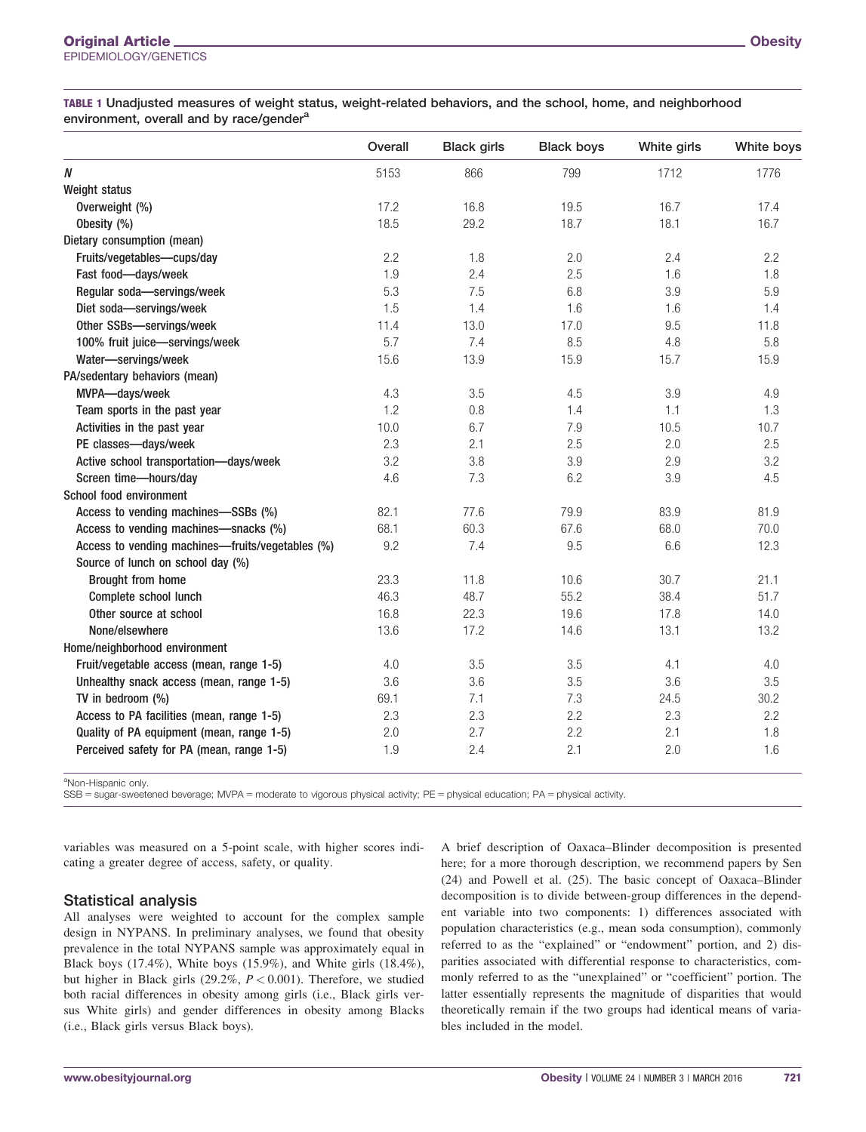TABLE 1 Unadjusted measures of weight status, weight-related behaviors, and the school, home, and neighborhood environment, overall and by race/gender<sup>a</sup>

|                                                  | Overall | <b>Black girls</b> | <b>Black boys</b> | White girls | White boys |
|--------------------------------------------------|---------|--------------------|-------------------|-------------|------------|
| $\boldsymbol{N}$                                 | 5153    | 866                | 799               | 1712        | 1776       |
| Weight status                                    |         |                    |                   |             |            |
| Overweight (%)                                   | 17.2    | 16.8               | 19.5              | 16.7        | 17.4       |
| Obesity (%)                                      | 18.5    | 29.2               | 18.7              | 18.1        | 16.7       |
| Dietary consumption (mean)                       |         |                    |                   |             |            |
| Fruits/vegetables-cups/day                       | 2.2     | 1.8                | 2.0               | 2.4         | 2.2        |
| Fast food-days/week                              | 1.9     | 2.4                | 2.5               | 1.6         | 1.8        |
| Regular soda-servings/week                       | 5.3     | 7.5                | 6.8               | 3.9         | 5.9        |
| Diet soda-servings/week                          | 1.5     | 1.4                | 1.6               | 1.6         | 1.4        |
| Other SSBs-servings/week                         | 11.4    | 13.0               | 17.0              | 9.5         | 11.8       |
| 100% fruit juice-servings/week                   | 5.7     | 7.4                | 8.5               | 4.8         | 5.8        |
| Water-servings/week                              | 15.6    | 13.9               | 15.9              | 15.7        | 15.9       |
| PA/sedentary behaviors (mean)                    |         |                    |                   |             |            |
| MVPA-days/week                                   | 4.3     | 3.5                | 4.5               | 3.9         | 4.9        |
| Team sports in the past year                     | 1.2     | 0.8                | 1.4               | 1.1         | 1.3        |
| Activities in the past year                      | 10.0    | 6.7                | 7.9               | 10.5        | 10.7       |
| PE classes-days/week                             | 2.3     | 2.1                | 2.5               | 2.0         | 2.5        |
| Active school transportation-days/week           | 3.2     | 3.8                | 3.9               | 2.9         | 3.2        |
| Screen time-hours/day                            | 4.6     | 7.3                | 6.2               | 3.9         | 4.5        |
| School food environment                          |         |                    |                   |             |            |
| Access to vending machines-SSBs (%)              | 82.1    | 77.6               | 79.9              | 83.9        | 81.9       |
| Access to vending machines-snacks (%)            | 68.1    | 60.3               | 67.6              | 68.0        | 70.0       |
| Access to vending machines-fruits/vegetables (%) | 9.2     | 7.4                | 9.5               | 6.6         | 12.3       |
| Source of lunch on school day (%)                |         |                    |                   |             |            |
| <b>Brought from home</b>                         | 23.3    | 11.8               | 10.6              | 30.7        | 21.1       |
| Complete school lunch                            | 46.3    | 48.7               | 55.2              | 38.4        | 51.7       |
| Other source at school                           | 16.8    | 22.3               | 19.6              | 17.8        | 14.0       |
| None/elsewhere                                   | 13.6    | 17.2               | 14.6              | 13.1        | 13.2       |
| Home/neighborhood environment                    |         |                    |                   |             |            |
| Fruit/vegetable access (mean, range 1-5)         | 4.0     | 3.5                | 3.5               | 4.1         | 4.0        |
| Unhealthy snack access (mean, range 1-5)         | 3.6     | 3.6                | 3.5               | 3.6         | 3.5        |
| TV in bedroom (%)                                | 69.1    | 7.1                | 7.3               | 24.5        | 30.2       |
| Access to PA facilities (mean, range 1-5)        | 2.3     | 2.3                | 2.2               | 2.3         | 2.2        |
| Quality of PA equipment (mean, range 1-5)        | 2.0     | 2.7                | 2.2               | 2.1         | 1.8        |
| Perceived safety for PA (mean, range 1-5)        | 1.9     | 2.4                | 2.1               | 2.0         | 1.6        |

<sup>a</sup>Non-Hispanic only.

SSB = sugar-sweetened beverage; MVPA = moderate to vigorous physical activity; PE = physical education; PA = physical activity.

variables was measured on a 5-point scale, with higher scores indicating a greater degree of access, safety, or quality.

#### Statistical analysis

All analyses were weighted to account for the complex sample design in NYPANS. In preliminary analyses, we found that obesity prevalence in the total NYPANS sample was approximately equal in Black boys (17.4%), White boys (15.9%), and White girls (18.4%), but higher in Black girls  $(29.2\%, P < 0.001)$ . Therefore, we studied both racial differences in obesity among girls (i.e., Black girls versus White girls) and gender differences in obesity among Blacks (i.e., Black girls versus Black boys).

A brief description of Oaxaca–Blinder decomposition is presented here; for a more thorough description, we recommend papers by Sen (24) and Powell et al. (25). The basic concept of Oaxaca–Blinder decomposition is to divide between-group differences in the dependent variable into two components: 1) differences associated with population characteristics (e.g., mean soda consumption), commonly referred to as the "explained" or "endowment" portion, and 2) disparities associated with differential response to characteristics, commonly referred to as the "unexplained" or "coefficient" portion. The latter essentially represents the magnitude of disparities that would theoretically remain if the two groups had identical means of variables included in the model.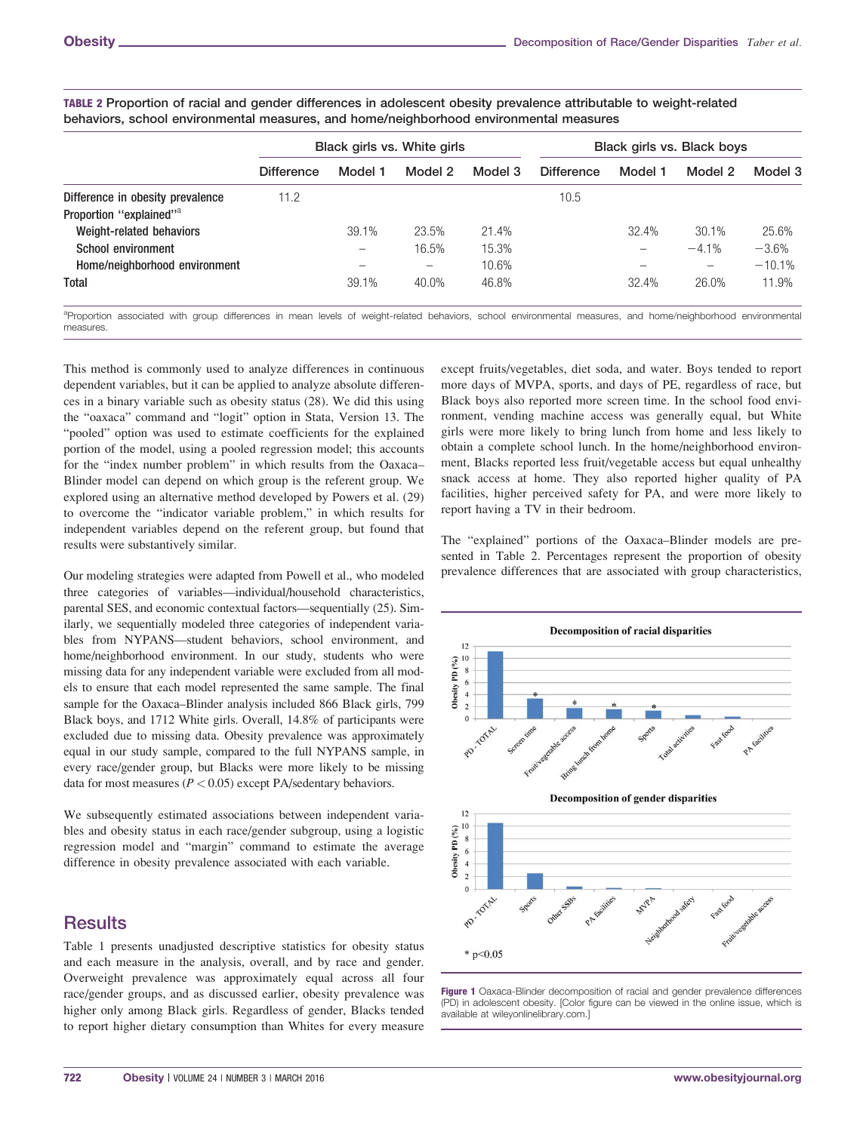|                   | Black girls vs. White girls |         |         | Black girls vs. Black boys |         |          |          |
|-------------------|-----------------------------|---------|---------|----------------------------|---------|----------|----------|
| <b>Difference</b> | Model 1                     | Model 2 | Model 3 | <b>Difference</b>          | Model 1 | Model 2  | Model 3  |
| 11.2              |                             |         |         | 10.5                       |         |          |          |
|                   |                             |         |         |                            |         |          |          |
|                   | 39.1%                       | 23.5%   | 21.4%   |                            | 32.4%   | 30.1%    | 25.6%    |
|                   |                             | 16.5%   | 15.3%   |                            |         | $-4.1\%$ | $-3.6%$  |
|                   |                             | —       | 10.6%   |                            |         | -        | $-10.1%$ |
|                   | 39.1%                       | 40.0%   | 46.8%   |                            | 32.4%   | 26.0%    | 11.9%    |
|                   |                             |         |         |                            |         |          |          |

TABLE 2 Proportion of racial and gender differences in adolescent obesity prevalence attributable to weight-related behaviors, school environmental measures, and home/neighborhood environmental measures

a<br>Proportion associated with group differences in mean levels of weight-related behaviors, school environmental measures, and home/neighborhood environmental measures.

This method is commonly used to analyze differences in continuous dependent variables, but it can be applied to analyze absolute differences in a binary variable such as obesity status (28). We did this using the "oaxaca" command and "logit" option in Stata, Version 13. The "pooled" option was used to estimate coefficients for the explained portion of the model, using a pooled regression model; this accounts for the "index number problem" in which results from the Oaxaca– Blinder model can depend on which group is the referent group. We explored using an alternative method developed by Powers et al. (29) to overcome the "indicator variable problem," in which results for independent variables depend on the referent group, but found that results were substantively similar.

Our modeling strategies were adapted from Powell et al., who modeled three categories of variables—individual/household characteristics, parental SES, and economic contextual factors—sequentially (25). Similarly, we sequentially modeled three categories of independent variables from NYPANS—student behaviors, school environment, and home/neighborhood environment. In our study, students who were missing data for any independent variable were excluded from all models to ensure that each model represented the same sample. The final sample for the Oaxaca–Blinder analysis included 866 Black girls, 799 Black boys, and 1712 White girls. Overall, 14.8% of participants were excluded due to missing data. Obesity prevalence was approximately equal in our study sample, compared to the full NYPANS sample, in every race/gender group, but Blacks were more likely to be missing data for most measures ( $P < 0.05$ ) except PA/sedentary behaviors.

We subsequently estimated associations between independent variables and obesity status in each race/gender subgroup, using a logistic regression model and "margin" command to estimate the average difference in obesity prevalence associated with each variable.

## **Results**

Table 1 presents unadjusted descriptive statistics for obesity status and each measure in the analysis, overall, and by race and gender. Overweight prevalence was approximately equal across all four race/gender groups, and as discussed earlier, obesity prevalence was higher only among Black girls. Regardless of gender, Blacks tended to report higher dietary consumption than Whites for every measure

except fruits/vegetables, diet soda, and water. Boys tended to report more days of MVPA, sports, and days of PE, regardless of race, but Black boys also reported more screen time. In the school food environment, vending machine access was generally equal, but White girls were more likely to bring lunch from home and less likely to obtain a complete school lunch. In the home/neighborhood environment, Blacks reported less fruit/vegetable access but equal unhealthy snack access at home. They also reported higher quality of PA facilities, higher perceived safety for PA, and were more likely to report having a TV in their bedroom.

The "explained" portions of the Oaxaca–Blinder models are presented in Table 2. Percentages represent the proportion of obesity prevalence differences that are associated with group characteristics,



Figure 1 Oaxaca-Blinder decomposition of racial and gender prevalence differences (PD) in adolescent obesity. [Color figure can be viewed in the online issue, which is available at [wileyonlinelibrary.com.](http://wileyonlinelibrary.com)]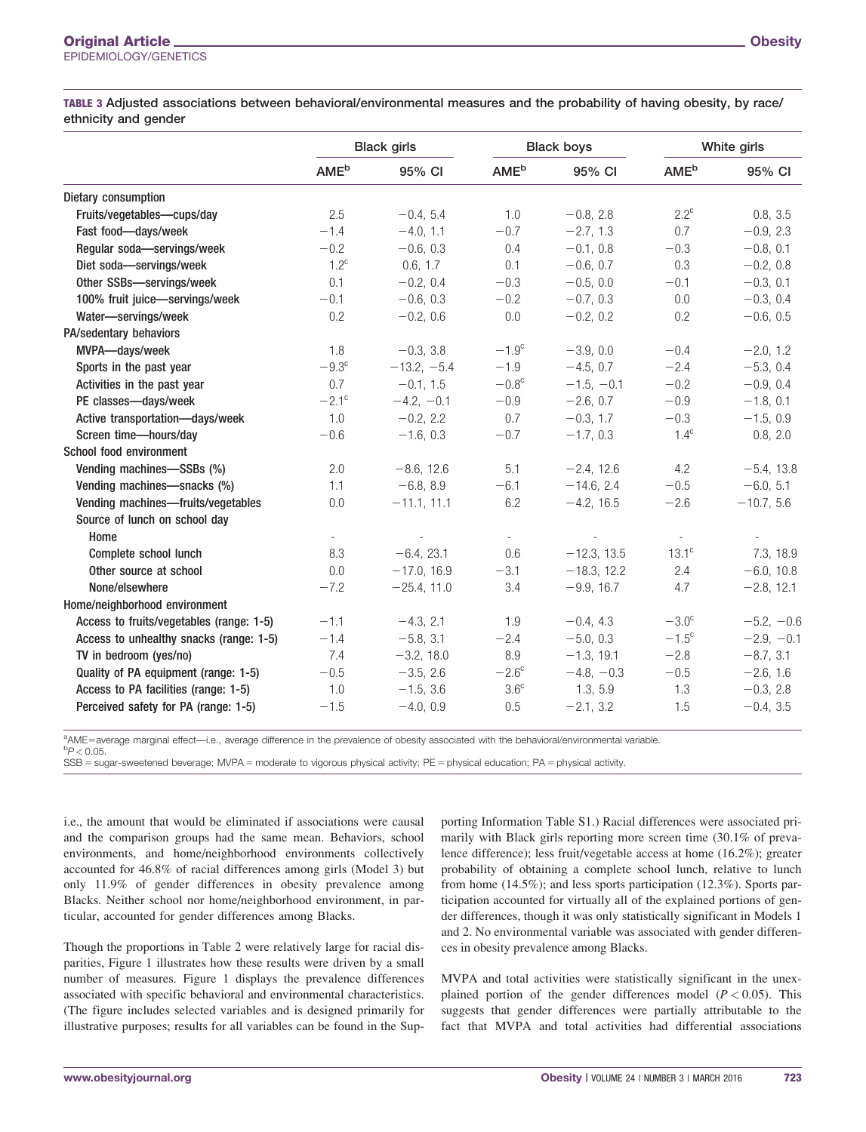|                                          | <b>Black girls</b>      |               | <b>Black boys</b>       |               | White girls              |              |
|------------------------------------------|-------------------------|---------------|-------------------------|---------------|--------------------------|--------------|
|                                          | <b>AME</b> <sup>b</sup> | 95% CI        | <b>AME</b> <sup>b</sup> | 95% CI        | <b>AME</b> <sup>b</sup>  | 95% CI       |
| Dietary consumption                      |                         |               |                         |               |                          |              |
| Fruits/vegetables-cups/day               | 2.5                     | $-0.4, 5.4$   | 1.0                     | $-0.8, 2.8$   | $2.2^{\circ}$            | 0.8, 3.5     |
| Fast food-days/week                      | $-1.4$                  | $-4.0, 1.1$   | $-0.7$                  | $-2.7, 1.3$   | 0.7                      | $-0.9, 2.3$  |
| Regular soda-servings/week               | $-0.2$                  | $-0.6, 0.3$   | 0.4                     | $-0.1, 0.8$   | $-0.3$                   | $-0.8, 0.1$  |
| Diet soda-servings/week                  | $1.2^c$                 | 0.6, 1.7      | 0.1                     | $-0.6, 0.7$   | 0.3                      | $-0.2, 0.8$  |
| Other SSBs-servings/week                 | 0.1                     | $-0.2, 0.4$   | $-0.3$                  | $-0.5, 0.0$   | $-0.1$                   | $-0.3, 0.1$  |
| 100% fruit juice-servings/week           | $-0.1$                  | $-0.6, 0.3$   | $-0.2$                  | $-0.7, 0.3$   | $0.0\,$                  | $-0.3, 0.4$  |
| Water-servings/week                      | 0.2                     | $-0.2, 0.6$   | 0.0                     | $-0.2, 0.2$   | 0.2                      | $-0.6, 0.5$  |
| PA/sedentary behaviors                   |                         |               |                         |               |                          |              |
| MVPA-days/week                           | 1.8                     | $-0.3, 3.8$   | $-1.9c$                 | $-3.9, 0.0$   | $-0.4$                   | $-2.0, 1.2$  |
| Sports in the past year                  | $-9.3^{\circ}$          | $-13.2, -5.4$ | $-1.9$                  | $-4.5, 0.7$   | $-2.4$                   | $-5.3, 0.4$  |
| Activities in the past year              | 0.7                     | $-0.1, 1.5$   | $-0.8c$                 | $-1.5, -0.1$  | $-0.2$                   | $-0.9, 0.4$  |
| PE classes-days/week                     | $-2.1^{\circ}$          | $-4.2, -0.1$  | $-0.9$                  | $-2.6, 0.7$   | $-0.9$                   | $-1.8, 0.1$  |
| Active transportation-days/week          | 1.0                     | $-0.2, 2.2$   | 0.7                     | $-0.3, 1.7$   | $-0.3$                   | $-1.5, 0.9$  |
| Screen time-hours/day                    | $-0.6$                  | $-1.6, 0.3$   | $-0.7$                  | $-1.7, 0.3$   | $1.4^\circ$              | 0.8, 2.0     |
| School food environment                  |                         |               |                         |               |                          |              |
| Vending machines-SSBs (%)                | 2.0                     | $-8.6, 12.6$  | 5.1                     | $-2.4, 12.6$  | 4.2                      | $-5.4, 13.8$ |
| Vending machines-snacks (%)              | 1.1                     | $-6.8, 8.9$   | $-6.1$                  | $-14.6, 2.4$  | $-0.5$                   | $-6.0, 5.1$  |
| Vending machines-fruits/vegetables       | 0.0                     | $-11.1, 11.1$ | 6.2                     | $-4.2, 16.5$  | $-2.6$                   | $-10.7, 5.6$ |
| Source of lunch on school day            |                         |               |                         |               |                          |              |
| Home                                     | $\sim$                  |               | $\sim$                  | $\sim$        | $\overline{\phantom{a}}$ |              |
| Complete school lunch                    | 8.3                     | $-6.4, 23.1$  | 0.6                     | $-12.3, 13.5$ | $13.1^{\circ}$           | 7.3, 18.9    |
| Other source at school                   | 0.0                     | $-17.0, 16.9$ | $-3.1$                  | $-18.3, 12.2$ | 2.4                      | $-6.0, 10.8$ |
| None/elsewhere                           | $-7.2$                  | $-25.4, 11.0$ | 3.4                     | $-9.9, 16.7$  | 4.7                      | $-2.8, 12.1$ |
| Home/neighborhood environment            |                         |               |                         |               |                          |              |
| Access to fruits/vegetables (range: 1-5) | $-1.1$                  | $-4.3, 2.1$   | 1.9                     | $-0.4, 4.3$   | $-3.0c$                  | $-5.2, -0.6$ |
| Access to unhealthy snacks (range: 1-5)  | $-1.4$                  | $-5.8, 3.1$   | $-2.4$                  | $-5.0, 0.3$   | $-1.5^{\circ}$           | $-2.9, -0.1$ |
| TV in bedroom (yes/no)                   | 7.4                     | $-3.2, 18.0$  | 8.9                     | $-1.3, 19.1$  | $-2.8$                   | $-8.7, 3.1$  |
| Quality of PA equipment (range: 1-5)     | $-0.5$                  | $-3.5, 2.6$   | $-2.6^{\circ}$          | $-4.8, -0.3$  | $-0.5$                   | $-2.6, 1.6$  |
| Access to PA facilities (range: 1-5)     | 1.0                     | $-1.5, 3.6$   | 3.6 <sup>c</sup>        | 1.3, 5.9      | 1.3                      | $-0.3, 2.8$  |
| Perceived safety for PA (range: 1-5)     | $-1.5$                  | $-4.0, 0.9$   | 0.5                     | $-2.1, 3.2$   | 1.5                      | $-0.4, 3.5$  |

aME=average marginal effect—i.e., average difference in the prevalence of obesity associated with the behavioral/environmental variable.<br>PP < 0.05  ${}^{b}P < 0.05$ .

SSB = sugar-sweetened beverage; MVPA = moderate to vigorous physical activity; PE = physical education; PA = physical activity.

i.e., the amount that would be eliminated if associations were causal and the comparison groups had the same mean. Behaviors, school environments, and home/neighborhood environments collectively accounted for 46.8% of racial differences among girls (Model 3) but only 11.9% of gender differences in obesity prevalence among Blacks. Neither school nor home/neighborhood environment, in particular, accounted for gender differences among Blacks.

Though the proportions in Table 2 were relatively large for racial disparities, Figure 1 illustrates how these results were driven by a small number of measures. Figure 1 displays the prevalence differences associated with specific behavioral and environmental characteristics. (The figure includes selected variables and is designed primarily for illustrative purposes; results for all variables can be found in the Supporting Information Table S1.) Racial differences were associated primarily with Black girls reporting more screen time (30.1% of prevalence difference); less fruit/vegetable access at home (16.2%); greater probability of obtaining a complete school lunch, relative to lunch from home (14.5%); and less sports participation (12.3%). Sports participation accounted for virtually all of the explained portions of gender differences, though it was only statistically significant in Models 1 and 2. No environmental variable was associated with gender differences in obesity prevalence among Blacks.

MVPA and total activities were statistically significant in the unexplained portion of the gender differences model  $(P < 0.05)$ . This suggests that gender differences were partially attributable to the fact that MVPA and total activities had differential associations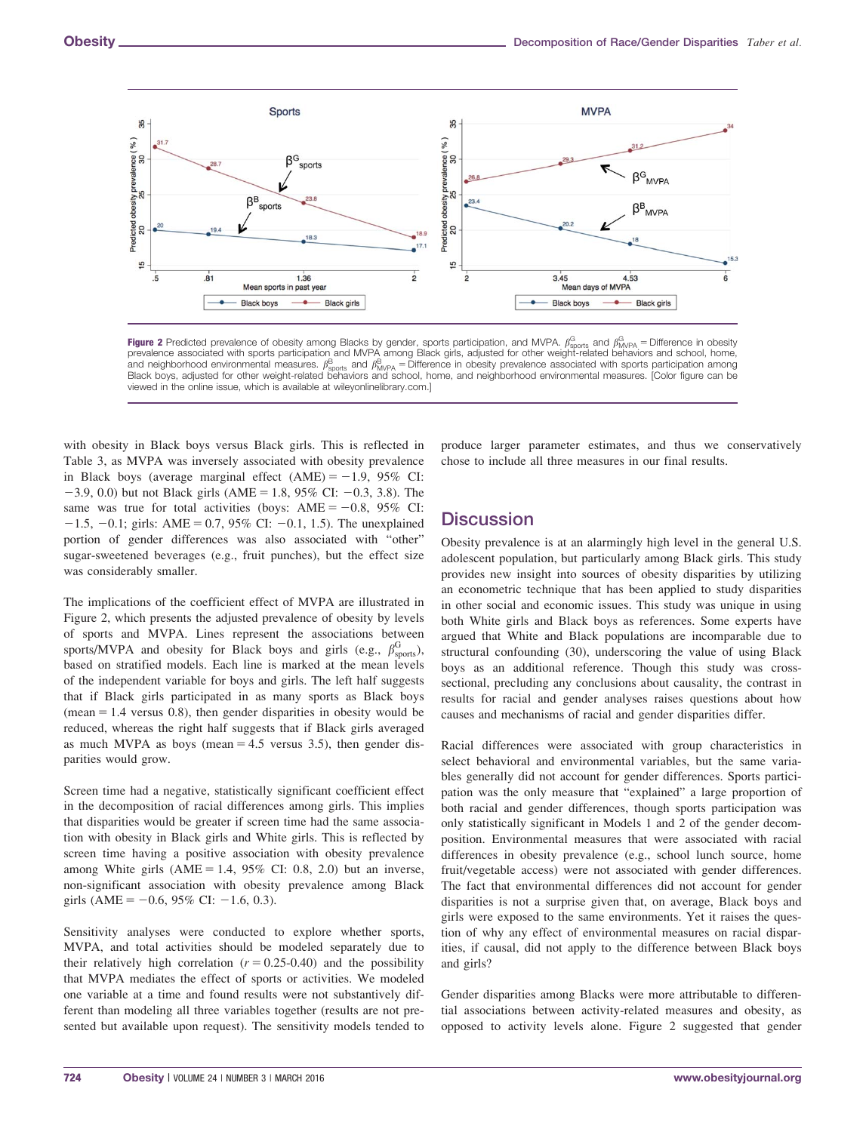

Figure 2 Predicted prevalence of obesity among Blacks by gender, sports participation, and MVPA.  $\beta_{\text{SDots}}^{\text{G}}$  and  $\beta_{\text{MVPA}}^{\text{G}}$  = Difference in obesity prevalence associated with sports participation and MVPA among Black girls, adjusted for other weight-related behaviors and school, home, and neighborhood environmental measures.  $\mu^{\rm B}_{\rm Spots}$  and  $\mu^{\rm B}_{\rm MVPA}$  = Difference in obesity prevalence associated with sports participation among Black boys, adjusted for other weight-related behaviors and school, home, and neighborhood environmental measures. [Color figure can be viewed in the online issue, which is available at [wileyonlinelibrary.com.](http://wileyonlinelibrary.com)]

with obesity in Black boys versus Black girls. This is reflected in Table 3, as MVPA was inversely associated with obesity prevalence in Black boys (average marginal effect  $(AME) = -1.9$ , 95% CI:  $-3.9, 0.0$ ) but not Black girls (AME = 1.8, 95% CI:  $-0.3, 3.8$ ). The same was true for total activities (boys:  $\text{AME} = -0.8$ , 95% CI:  $-1.5, -0.1$ ; girls: AME = 0.7, 95% CI:  $-0.1, 1.5$ ). The unexplained portion of gender differences was also associated with "other" sugar-sweetened beverages (e.g., fruit punches), but the effect size was considerably smaller.

The implications of the coefficient effect of MVPA are illustrated in Figure 2, which presents the adjusted prevalence of obesity by levels of sports and MVPA. Lines represent the associations between sports/MVPA and obesity for Black boys and girls (e.g.,  $\beta_{\text{sports}}^{\text{G}}$ ), based on stratified models. Each line is marked at the mean levels of the independent variable for boys and girls. The left half suggests that if Black girls participated in as many sports as Black boys (mean  $= 1.4$  versus 0.8), then gender disparities in obesity would be reduced, whereas the right half suggests that if Black girls averaged as much MVPA as boys (mean  $= 4.5$  versus 3.5), then gender disparities would grow.

Screen time had a negative, statistically significant coefficient effect in the decomposition of racial differences among girls. This implies that disparities would be greater if screen time had the same association with obesity in Black girls and White girls. This is reflected by screen time having a positive association with obesity prevalence among White girls  $(AME = 1.4, 95\%$  CI: 0.8, 2.0) but an inverse, non-significant association with obesity prevalence among Black girls (AME =  $-0.6$ , 95% CI:  $-1.6$ , 0.3).

Sensitivity analyses were conducted to explore whether sports, MVPA, and total activities should be modeled separately due to their relatively high correlation  $(r = 0.25-0.40)$  and the possibility that MVPA mediates the effect of sports or activities. We modeled one variable at a time and found results were not substantively different than modeling all three variables together (results are not presented but available upon request). The sensitivity models tended to produce larger parameter estimates, and thus we conservatively chose to include all three measures in our final results.

## **Discussion**

Obesity prevalence is at an alarmingly high level in the general U.S. adolescent population, but particularly among Black girls. This study provides new insight into sources of obesity disparities by utilizing an econometric technique that has been applied to study disparities in other social and economic issues. This study was unique in using both White girls and Black boys as references. Some experts have argued that White and Black populations are incomparable due to structural confounding (30), underscoring the value of using Black boys as an additional reference. Though this study was crosssectional, precluding any conclusions about causality, the contrast in results for racial and gender analyses raises questions about how causes and mechanisms of racial and gender disparities differ.

Racial differences were associated with group characteristics in select behavioral and environmental variables, but the same variables generally did not account for gender differences. Sports participation was the only measure that "explained" a large proportion of both racial and gender differences, though sports participation was only statistically significant in Models 1 and 2 of the gender decomposition. Environmental measures that were associated with racial differences in obesity prevalence (e.g., school lunch source, home fruit/vegetable access) were not associated with gender differences. The fact that environmental differences did not account for gender disparities is not a surprise given that, on average, Black boys and girls were exposed to the same environments. Yet it raises the question of why any effect of environmental measures on racial disparities, if causal, did not apply to the difference between Black boys and girls?

Gender disparities among Blacks were more attributable to differential associations between activity-related measures and obesity, as opposed to activity levels alone. Figure 2 suggested that gender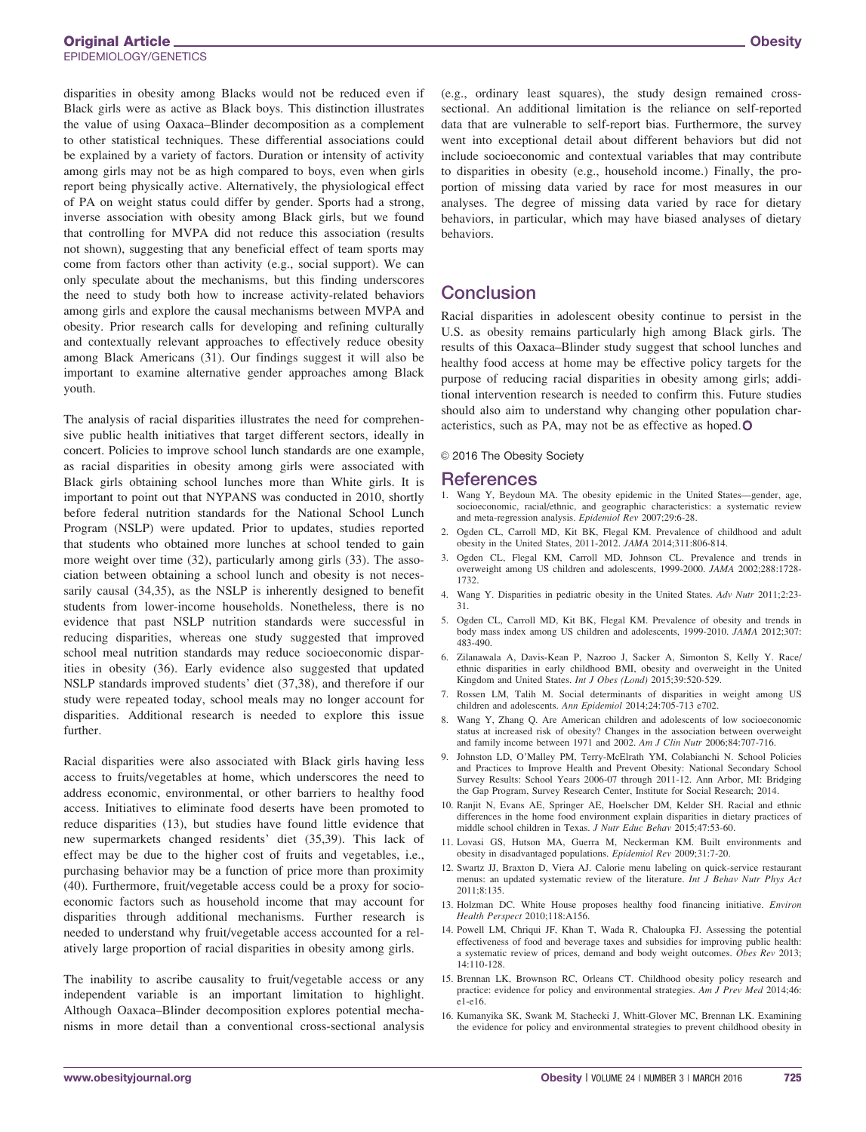disparities in obesity among Blacks would not be reduced even if Black girls were as active as Black boys. This distinction illustrates the value of using Oaxaca–Blinder decomposition as a complement to other statistical techniques. These differential associations could be explained by a variety of factors. Duration or intensity of activity among girls may not be as high compared to boys, even when girls report being physically active. Alternatively, the physiological effect of PA on weight status could differ by gender. Sports had a strong, inverse association with obesity among Black girls, but we found that controlling for MVPA did not reduce this association (results not shown), suggesting that any beneficial effect of team sports may come from factors other than activity (e.g., social support). We can only speculate about the mechanisms, but this finding underscores the need to study both how to increase activity-related behaviors among girls and explore the causal mechanisms between MVPA and obesity. Prior research calls for developing and refining culturally and contextually relevant approaches to effectively reduce obesity among Black Americans (31). Our findings suggest it will also be important to examine alternative gender approaches among Black youth.

The analysis of racial disparities illustrates the need for comprehensive public health initiatives that target different sectors, ideally in concert. Policies to improve school lunch standards are one example, as racial disparities in obesity among girls were associated with Black girls obtaining school lunches more than White girls. It is important to point out that NYPANS was conducted in 2010, shortly before federal nutrition standards for the National School Lunch Program (NSLP) were updated. Prior to updates, studies reported that students who obtained more lunches at school tended to gain more weight over time (32), particularly among girls (33). The association between obtaining a school lunch and obesity is not necessarily causal (34,35), as the NSLP is inherently designed to benefit students from lower-income households. Nonetheless, there is no evidence that past NSLP nutrition standards were successful in reducing disparities, whereas one study suggested that improved school meal nutrition standards may reduce socioeconomic disparities in obesity (36). Early evidence also suggested that updated NSLP standards improved students' diet (37,38), and therefore if our study were repeated today, school meals may no longer account for disparities. Additional research is needed to explore this issue further.

Racial disparities were also associated with Black girls having less access to fruits/vegetables at home, which underscores the need to address economic, environmental, or other barriers to healthy food access. Initiatives to eliminate food deserts have been promoted to reduce disparities (13), but studies have found little evidence that new supermarkets changed residents' diet (35,39). This lack of effect may be due to the higher cost of fruits and vegetables, i.e., purchasing behavior may be a function of price more than proximity (40). Furthermore, fruit/vegetable access could be a proxy for socioeconomic factors such as household income that may account for disparities through additional mechanisms. Further research is needed to understand why fruit/vegetable access accounted for a relatively large proportion of racial disparities in obesity among girls.

The inability to ascribe causality to fruit/vegetable access or any independent variable is an important limitation to highlight. Although Oaxaca–Blinder decomposition explores potential mechanisms in more detail than a conventional cross-sectional analysis (e.g., ordinary least squares), the study design remained crosssectional. An additional limitation is the reliance on self-reported data that are vulnerable to self-report bias. Furthermore, the survey went into exceptional detail about different behaviors but did not include socioeconomic and contextual variables that may contribute to disparities in obesity (e.g., household income.) Finally, the proportion of missing data varied by race for most measures in our analyses. The degree of missing data varied by race for dietary behaviors, in particular, which may have biased analyses of dietary behaviors.

## **Conclusion**

Racial disparities in adolescent obesity continue to persist in the U.S. as obesity remains particularly high among Black girls. The results of this Oaxaca–Blinder study suggest that school lunches and healthy food access at home may be effective policy targets for the purpose of reducing racial disparities in obesity among girls; additional intervention research is needed to confirm this. Future studies should also aim to understand why changing other population characteristics, such as PA, may not be as effective as hoped.O

© 2016 The Obesity Society

#### References

- 1. Wang Y, Beydoun MA. The obesity epidemic in the United States—gender, age, socioeconomic, racial/ethnic, and geographic characteristics: a systematic review and meta-regression analysis. Epidemiol Rev 2007;29:6-28.
- 2. Ogden CL, Carroll MD, Kit BK, Flegal KM. Prevalence of childhood and adult obesity in the United States, 2011-2012. JAMA 2014;311:806-814.
- 3. Ogden CL, Flegal KM, Carroll MD, Johnson CL. Prevalence and trends in overweight among US children and adolescents, 1999-2000. JAMA 2002;288:1728- 1732.
- 4. Wang Y. Disparities in pediatric obesity in the United States. Adv Nutr 2011;2:23- 31.
- 5. Ogden CL, Carroll MD, Kit BK, Flegal KM. Prevalence of obesity and trends in body mass index among US children and adolescents, 1999-2010. JAMA 2012;307: 483-490.
- 6. Zilanawala A, Davis-Kean P, Nazroo J, Sacker A, Simonton S, Kelly Y. Race/ ethnic disparities in early childhood BMI, obesity and overweight in the United Kingdom and United States. Int J Obes (Lond) 2015;39:520-529.
- 7. Rossen LM, Talih M. Social determinants of disparities in weight among US children and adolescents. Ann Epidemiol 2014;24:705-713 e702.
- 8. Wang Y, Zhang Q. Are American children and adolescents of low socioeconomic status at increased risk of obesity? Changes in the association between overweight and family income between 1971 and 2002. Am J Clin Nutr 2006;84:707-716.
- 9. Johnston LD, O'Malley PM, Terry-McElrath YM, Colabianchi N. School Policies and Practices to Improve Health and Prevent Obesity: National Secondary School Survey Results: School Years 2006-07 through 2011-12. Ann Arbor, MI: Bridging the Gap Program, Survey Research Center, Institute for Social Research; 2014.
- 10. Ranjit N, Evans AE, Springer AE, Hoelscher DM, Kelder SH. Racial and ethnic differences in the home food environment explain disparities in dietary practices of middle school children in Texas. J Nutr Educ Behav 2015;47:53-60.
- 11. Lovasi GS, Hutson MA, Guerra M, Neckerman KM. Built environments and obesity in disadvantaged populations. Epidemiol Rev 2009;31:7-20.
- 12. Swartz JJ, Braxton D, Viera AJ. Calorie menu labeling on quick-service restaurant menus: an updated systematic review of the literature. Int J Behav Nutr Phys Act 2011;8:135.
- 13. Holzman DC. White House proposes healthy food financing initiative. Environ Health Perspect 2010;118:A156.
- 14. Powell LM, Chriqui JF, Khan T, Wada R, Chaloupka FJ. Assessing the potential effectiveness of food and beverage taxes and subsidies for improving public health: a systematic review of prices, demand and body weight outcomes. Obes Rev 2013; 14:110-128.
- 15. Brennan LK, Brownson RC, Orleans CT. Childhood obesity policy research and practice: evidence for policy and environmental strategies. Am J Prev Med 2014;46: e1-e16.
- 16. Kumanyika SK, Swank M, Stachecki J, Whitt-Glover MC, Brennan LK. Examining the evidence for policy and environmental strategies to prevent childhood obesity in